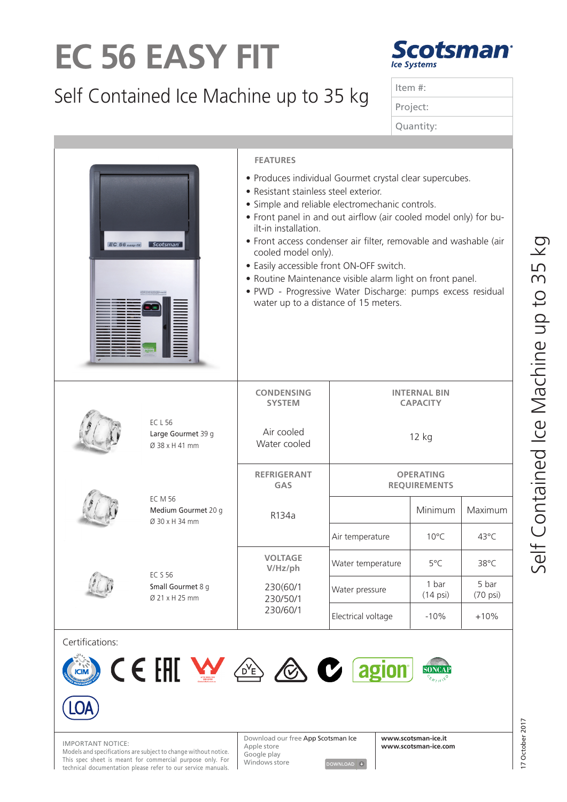## **EC 56 EASY FIT**

## Self Contained Ice Machine up to 35 kg



|  | Item $#$ : |
|--|------------|
|  | Project:   |
|  | Quantity:  |
|  |            |

| $EC 56$ easy-fit | Scotsman <sup>®</sup>                                   | <b>FEATURES</b><br>• Produces individual Gourmet crystal clear supercubes.<br>• Resistant stainless steel exterior.<br>• Simple and reliable electromechanic controls.<br>• Front panel in and out airflow (air cooled model only) for bu-<br>ilt-in installation.<br>• Front access condenser air filter, removable and washable (air<br>cooled model only).<br>• Easily accessible front ON-OFF switch.<br>• Routine Maintenance visible alarm light on front panel.<br>· PWD - Progressive Water Discharge: pumps excess residual<br>water up to a distance of 15 meters. |                                        |                                         |                             |  |  |
|------------------|---------------------------------------------------------|------------------------------------------------------------------------------------------------------------------------------------------------------------------------------------------------------------------------------------------------------------------------------------------------------------------------------------------------------------------------------------------------------------------------------------------------------------------------------------------------------------------------------------------------------------------------------|----------------------------------------|-----------------------------------------|-----------------------------|--|--|
|                  | <b>ECL56</b><br>Large Gourmet 39 g<br>Ø 38 x H 41 mm    | <b>CONDENSING</b><br><b>SYSTEM</b>                                                                                                                                                                                                                                                                                                                                                                                                                                                                                                                                           | <b>INTERNAL BIN</b><br><b>CAPACITY</b> |                                         |                             |  |  |
|                  |                                                         | Air cooled<br>Water cooled                                                                                                                                                                                                                                                                                                                                                                                                                                                                                                                                                   | 12 kg                                  |                                         |                             |  |  |
|                  |                                                         | <b>REFRIGERANT</b><br>GAS                                                                                                                                                                                                                                                                                                                                                                                                                                                                                                                                                    |                                        | <b>OPERATING</b><br><b>REQUIREMENTS</b> |                             |  |  |
|                  | <b>EC M 56</b><br>Medium Gourmet 20 g<br>Ø 30 x H 34 mm | R134a                                                                                                                                                                                                                                                                                                                                                                                                                                                                                                                                                                        |                                        | Minimum                                 | Maximum                     |  |  |
|                  |                                                         |                                                                                                                                                                                                                                                                                                                                                                                                                                                                                                                                                                              | Air temperature                        | $10^{\circ}$ C                          | 43°C                        |  |  |
|                  | <b>EC S 56</b><br>Small Gourmet 8 g<br>Ø 21 x H 25 mm   | <b>VOLTAGE</b><br>V/Hz/ph                                                                                                                                                                                                                                                                                                                                                                                                                                                                                                                                                    | Water temperature                      | 5°C                                     | 38°C                        |  |  |
|                  |                                                         | 230(60/1<br>230/50/1<br>230/60/1                                                                                                                                                                                                                                                                                                                                                                                                                                                                                                                                             | Water pressure                         | 1 bar<br>$(14 \text{ psi})$             | 5 bar<br>$(70 \text{ psi})$ |  |  |
|                  |                                                         |                                                                                                                                                                                                                                                                                                                                                                                                                                                                                                                                                                              | Electrical voltage                     | $-10%$                                  | $+10%$                      |  |  |
| Certifications:  |                                                         |                                                                                                                                                                                                                                                                                                                                                                                                                                                                                                                                                                              |                                        |                                         |                             |  |  |



This spec sheet is meant for commercial purpose only. For technical documentation please refer to our service manuals.

Download our free App Scotsman Ice **IMPORTANT NOTICE:**<br>Models and specifications are subject to change without notice.<br>Coorde play Apple store Google play Windows store DOWNLOAD +



**www.scotsman-ice.it**

**SONCAP**